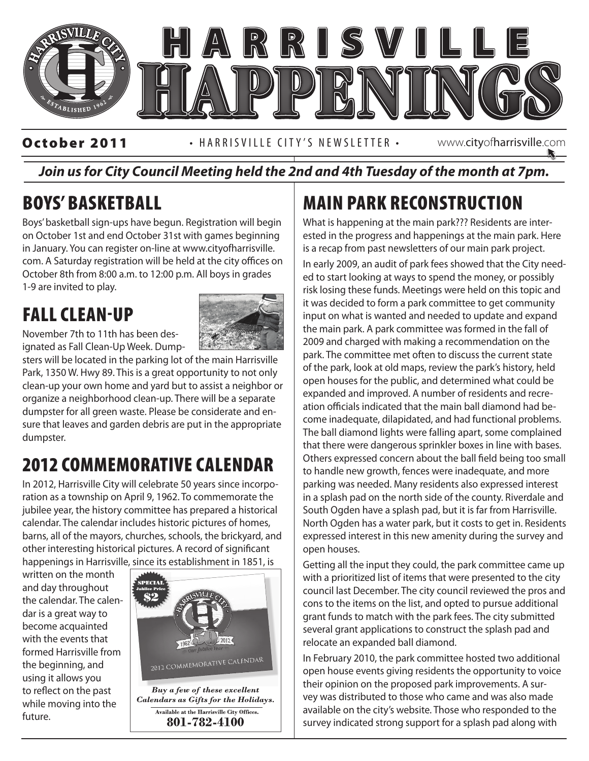

October 2011 • HARRISVILLE CITY'S NEWSLETTER • www.cityofharrisville.com

#### *Join us for City Council Meeting held the 2nd and 4th Tuesday of the month at 7pm.*

## BOYS' BASKETBALL

Boys' basketball sign-ups have begun. Registration will begin on October 1st and end October 31st with games beginning in January. You can register on-line at www.cityofharrisville. com. A Saturday registration will be held at the city offices on October 8th from 8:00 a.m. to 12:00 p.m. All boys in grades 1-9 are invited to play.

## FALL CLEAN-UP



November 7th to 11th has been designated as Fall Clean-Up Week. Dump-

sters will be located in the parking lot of the main Harrisville Park, 1350 W. Hwy 89. This is a great opportunity to not only clean-up your own home and yard but to assist a neighbor or organize a neighborhood clean-up. There will be a separate dumpster for all green waste. Please be considerate and ensure that leaves and garden debris are put in the appropriate dumpster.

## 2012 COMMEMORATIVE CALENDAR

In 2012, Harrisville City will celebrate 50 years since incorporation as a township on April 9, 1962. To commemorate the jubilee year, the history committee has prepared a historical calendar. The calendar includes historic pictures of homes, barns, all of the mayors, churches, schools, the brickyard, and other interesting historical pictures. A record of significant happenings in Harrisville, since its establishment in 1851, is

written on the month and day throughout the calendar. The calendar is a great way to become acquainted with the events that formed Harrisville from the beginning, and using it allows you to reflect on the past while moving into the future.



# MAIN PARK RECONSTRUCTION

eighbor of  $\vert$  expanded and improved. A number of residents and recre-What is happening at the main park??? Residents are interested in the progress and happenings at the main park. Here is a recap from past newsletters of our main park project. In early 2009, an audit of park fees showed that the City needed to start looking at ways to spend the money, or possibly risk losing these funds. Meetings were held on this topic and it was decided to form a park committee to get community input on what is wanted and needed to update and expand the main park. A park committee was formed in the fall of 2009 and charged with making a recommendation on the park. The committee met often to discuss the current state of the park, look at old maps, review the park's history, held open houses for the public, and determined what could be ation officials indicated that the main ball diamond had become inadequate, dilapidated, and had functional problems. The ball diamond lights were falling apart, some complained that there were dangerous sprinkler boxes in line with bases. Others expressed concern about the ball field being too small to handle new growth, fences were inadequate, and more parking was needed. Many residents also expressed interest in a splash pad on the north side of the county. Riverdale and South Ogden have a splash pad, but it is far from Harrisville. North Ogden has a water park, but it costs to get in. Residents expressed interest in this new amenity during the survey and open houses.

> Getting all the input they could, the park committee came up with a prioritized list of items that were presented to the city council last December. The city council reviewed the pros and cons to the items on the list, and opted to pursue additional grant funds to match with the park fees. The city submitted several grant applications to construct the splash pad and relocate an expanded ball diamond.

In February 2010, the park committee hosted two additional open house events giving residents the opportunity to voice their opinion on the proposed park improvements. A survey was distributed to those who came and was also made available on the city's website. Those who responded to the survey indicated strong support for a splash pad along with